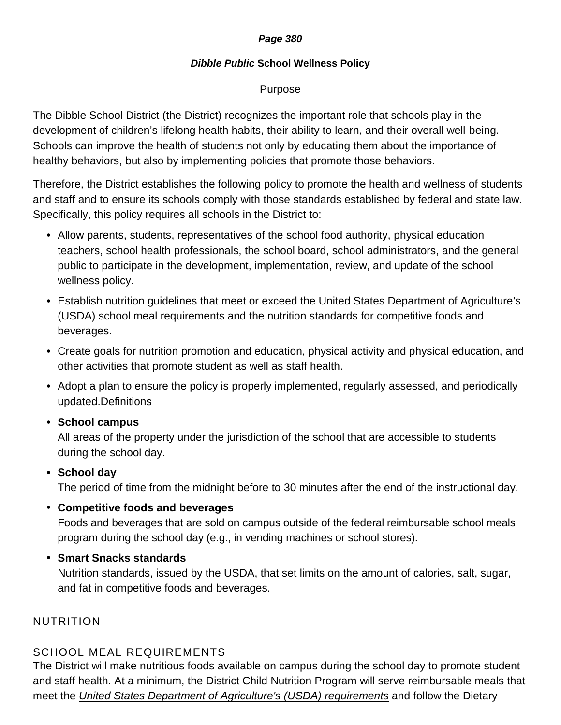### **Page 380**

### **Dibble Public School Wellness Policy**

## Purpose

The Dibble School District (the District) recognizes the important role that schools play in the development of children's lifelong health habits, their ability to learn, and their overall well-being. Schools can improve the health of students not only by educating them about the importance of healthy behaviors, but also by implementing policies that promote those behaviors.

Therefore, the District establishes the following policy to promote the health and wellness of students and staff and to ensure its schools comply with those standards established by federal and state law. Specifically, this policy requires all schools in the District to:

- Allow parents, students, representatives of the school food authority, physical education teachers, school health professionals, the school board, school administrators, and the general public to participate in the development, implementation, review, and update of the school wellness policy.
- Establish nutrition guidelines that meet or exceed the United States Department of Agriculture's (USDA) school meal requirements and the nutrition standards for competitive foods and beverages.
- Create goals for nutrition promotion and education, physical activity and physical education, and other activities that promote student as well as staff health.
- Adopt a plan to ensure the policy is properly implemented, regularly assessed, and periodically updated.Definitions
- **School campus**

All areas of the property under the jurisdiction of the school that are accessible to students during the school day.

# • **School day**

The period of time from the midnight before to 30 minutes after the end of the instructional day.

• **Competitive foods and beverages** 

Foods and beverages that are sold on campus outside of the federal reimbursable school meals program during the school day (e.g., in vending machines or school stores).

• **Smart Snacks standards** 

Nutrition standards, issued by the USDA, that set limits on the amount of calories, salt, sugar, and fat in competitive foods and beverages.

# NUTRITION

# SCHOOL MEAL REQUIREMENTS

The District will make nutritious foods available on campus during the school day to promote student and staff health. At a minimum, the District Child Nutrition Program will serve reimbursable meals that meet the United States Department of Agriculture's (USDA) requirements and follow the Dietary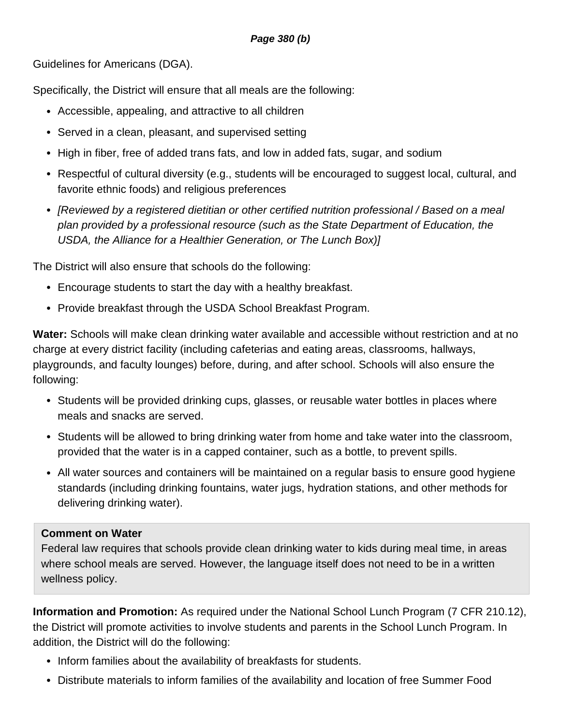### **Page 380 (b)**

Guidelines for Americans (DGA).

Specifically, the District will ensure that all meals are the following:

- Accessible, appealing, and attractive to all children
- Served in a clean, pleasant, and supervised setting
- High in fiber, free of added trans fats, and low in added fats, sugar, and sodium
- Respectful of cultural diversity (e.g., students will be encouraged to suggest local, cultural, and favorite ethnic foods) and religious preferences
- [Reviewed by a registered dietitian or other certified nutrition professional / Based on a meal plan provided by a professional resource (such as the State Department of Education, the USDA, the Alliance for a Healthier Generation, or The Lunch Box)]

The District will also ensure that schools do the following:

- Encourage students to start the day with a healthy breakfast.
- Provide breakfast through the USDA School Breakfast Program.

**Water:** Schools will make clean drinking water available and accessible without restriction and at no charge at every district facility (including cafeterias and eating areas, classrooms, hallways, playgrounds, and faculty lounges) before, during, and after school. Schools will also ensure the following:

- Students will be provided drinking cups, glasses, or reusable water bottles in places where meals and snacks are served.
- Students will be allowed to bring drinking water from home and take water into the classroom, provided that the water is in a capped container, such as a bottle, to prevent spills.
- All water sources and containers will be maintained on a regular basis to ensure good hygiene standards (including drinking fountains, water jugs, hydration stations, and other methods for delivering drinking water).

## **Comment on Water**

Federal law requires that schools provide clean drinking water to kids during meal time, in areas where school meals are served. However, the language itself does not need to be in a written wellness policy.

**Information and Promotion:** As required under the National School Lunch Program (7 CFR 210.12), the District will promote activities to involve students and parents in the School Lunch Program. In addition, the District will do the following:

- Inform families about the availability of breakfasts for students.
- Distribute materials to inform families of the availability and location of free Summer Food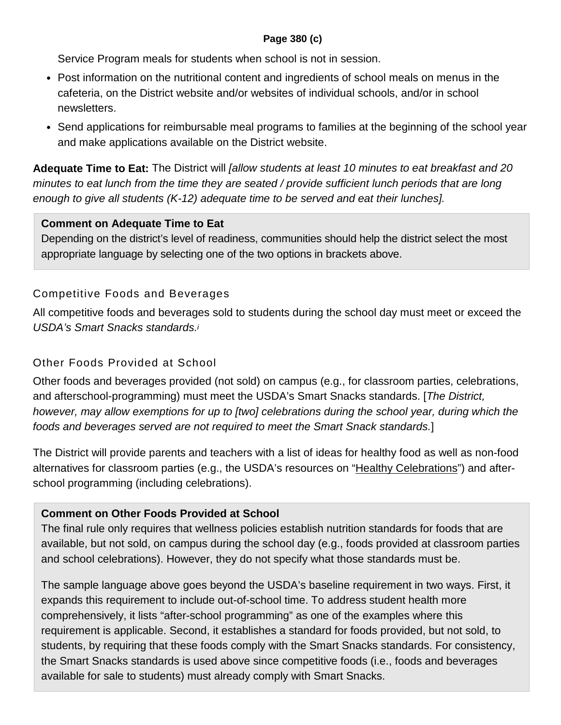## **Page 380 (c)**

Service Program meals for students when school is not in session.

- Post information on the nutritional content and ingredients of school meals on menus in the cafeteria, on the District website and/or websites of individual schools, and/or in school newsletters.
- Send applications for reimbursable meal programs to families at the beginning of the school year and make applications available on the District website.

**Adequate Time to Eat:** The District will [allow students at least 10 minutes to eat breakfast and 20 minutes to eat lunch from the time they are seated / provide sufficient lunch periods that are long enough to give all students (K-12) adequate time to be served and eat their lunches].

## **Comment on Adequate Time to Eat**

Depending on the district's level of readiness, communities should help the district select the most appropriate language by selecting one of the two options in brackets above.

## Competitive Foods and Beverages

All competitive foods and beverages sold to students during the school day must meet or exceed the USDA's Smart Snacks standards.<sup>i</sup>

## Other Foods Provided at School

Other foods and beverages provided (not sold) on campus (e.g., for classroom parties, celebrations, and afterschool-programming) must meet the USDA's Smart Snacks standards. [The District, however, may allow exemptions for up to [two] celebrations during the school year, during which the foods and beverages served are not required to meet the Smart Snack standards.]

The District will provide parents and teachers with a list of ideas for healthy food as well as non-food alternatives for classroom parties (e.g., the USDA's resources on "Healthy Celebrations") and afterschool programming (including celebrations).

## **Comment on Other Foods Provided at School**

The final rule only requires that wellness policies establish nutrition standards for foods that are available, but not sold, on campus during the school day (e.g., foods provided at classroom parties and school celebrations). However, they do not specify what those standards must be.

The sample language above goes beyond the USDA's baseline requirement in two ways. First, it expands this requirement to include out-of-school time. To address student health more comprehensively, it lists "after-school programming" as one of the examples where this requirement is applicable. Second, it establishes a standard for foods provided, but not sold, to students, by requiring that these foods comply with the Smart Snacks standards. For consistency, the Smart Snacks standards is used above since competitive foods (i.e., foods and beverages available for sale to students) must already comply with Smart Snacks.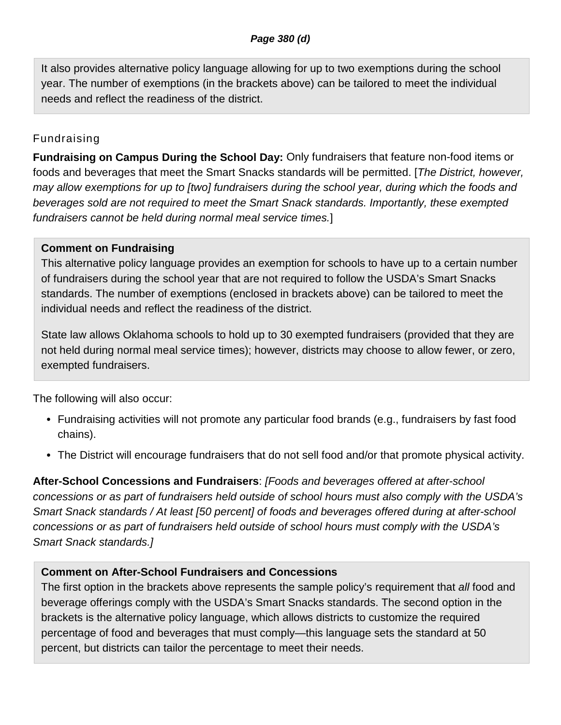It also provides alternative policy language allowing for up to two exemptions during the school year. The number of exemptions (in the brackets above) can be tailored to meet the individual needs and reflect the readiness of the district.

# Fundraising

**Fundraising on Campus During the School Day:** Only fundraisers that feature non-food items or foods and beverages that meet the Smart Snacks standards will be permitted. [The District, however, may allow exemptions for up to [two] fundraisers during the school year, during which the foods and beverages sold are not required to meet the Smart Snack standards. Importantly, these exempted fundraisers cannot be held during normal meal service times.]

# **Comment on Fundraising**

This alternative policy language provides an exemption for schools to have up to a certain number of fundraisers during the school year that are not required to follow the USDA's Smart Snacks standards. The number of exemptions (enclosed in brackets above) can be tailored to meet the individual needs and reflect the readiness of the district.

State law allows Oklahoma schools to hold up to 30 exempted fundraisers (provided that they are not held during normal meal service times); however, districts may choose to allow fewer, or zero, exempted fundraisers.

The following will also occur:

- Fundraising activities will not promote any particular food brands (e.g., fundraisers by fast food chains).
- The District will encourage fundraisers that do not sell food and/or that promote physical activity.

**After-School Concessions and Fundraisers**: [Foods and beverages offered at after-school concessions or as part of fundraisers held outside of school hours must also comply with the USDA's Smart Snack standards / At least [50 percent] of foods and beverages offered during at after-school concessions or as part of fundraisers held outside of school hours must comply with the USDA's Smart Snack standards.]

# **Comment on After-School Fundraisers and Concessions**

The first option in the brackets above represents the sample policy's requirement that all food and beverage offerings comply with the USDA's Smart Snacks standards. The second option in the brackets is the alternative policy language, which allows districts to customize the required percentage of food and beverages that must comply—this language sets the standard at 50 percent, but districts can tailor the percentage to meet their needs.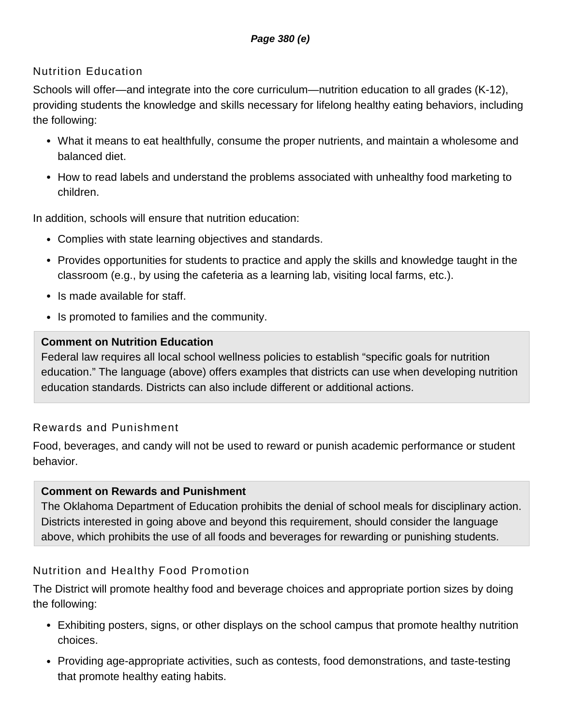# Nutrition Education

Schools will offer—and integrate into the core curriculum—nutrition education to all grades (K-12), providing students the knowledge and skills necessary for lifelong healthy eating behaviors, including the following:

- What it means to eat healthfully, consume the proper nutrients, and maintain a wholesome and balanced diet.
- How to read labels and understand the problems associated with unhealthy food marketing to children.

In addition, schools will ensure that nutrition education:

- Complies with state learning objectives and standards.
- Provides opportunities for students to practice and apply the skills and knowledge taught in the classroom (e.g., by using the cafeteria as a learning lab, visiting local farms, etc.).
- Is made available for staff.
- Is promoted to families and the community.

## **Comment on Nutrition Education**

Federal law requires all local school wellness policies to establish "specific goals for nutrition education." The language (above) offers examples that districts can use when developing nutrition education standards. Districts can also include different or additional actions.

# Rewards and Punishment

Food, beverages, and candy will not be used to reward or punish academic performance or student behavior.

## **Comment on Rewards and Punishment**

The Oklahoma Department of Education prohibits the denial of school meals for disciplinary action. Districts interested in going above and beyond this requirement, should consider the language above, which prohibits the use of all foods and beverages for rewarding or punishing students.

# Nutrition and Healthy Food Promotion

The District will promote healthy food and beverage choices and appropriate portion sizes by doing the following:

- Exhibiting posters, signs, or other displays on the school campus that promote healthy nutrition choices.
- Providing age-appropriate activities, such as contests, food demonstrations, and taste-testing that promote healthy eating habits.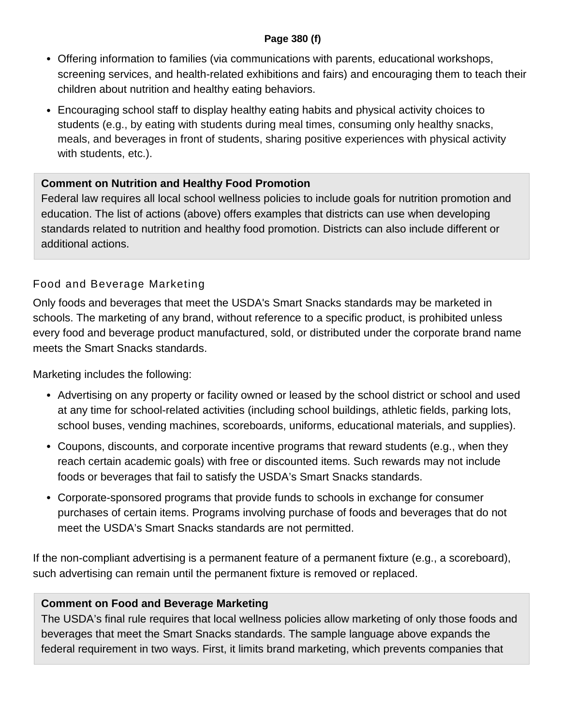### **Page 380 (f)**

- Offering information to families (via communications with parents, educational workshops, screening services, and health-related exhibitions and fairs) and encouraging them to teach their children about nutrition and healthy eating behaviors.
- Encouraging school staff to display healthy eating habits and physical activity choices to students (e.g., by eating with students during meal times, consuming only healthy snacks, meals, and beverages in front of students, sharing positive experiences with physical activity with students, etc.).

## **Comment on Nutrition and Healthy Food Promotion**

Federal law requires all local school wellness policies to include goals for nutrition promotion and education. The list of actions (above) offers examples that districts can use when developing standards related to nutrition and healthy food promotion. Districts can also include different or additional actions.

# Food and Beverage Marketing

Only foods and beverages that meet the USDA's Smart Snacks standards may be marketed in schools. The marketing of any brand, without reference to a specific product, is prohibited unless every food and beverage product manufactured, sold, or distributed under the corporate brand name meets the Smart Snacks standards.

Marketing includes the following:

- Advertising on any property or facility owned or leased by the school district or school and used at any time for school-related activities (including school buildings, athletic fields, parking lots, school buses, vending machines, scoreboards, uniforms, educational materials, and supplies).
- Coupons, discounts, and corporate incentive programs that reward students (e.g., when they reach certain academic goals) with free or discounted items. Such rewards may not include foods or beverages that fail to satisfy the USDA's Smart Snacks standards.
- Corporate-sponsored programs that provide funds to schools in exchange for consumer purchases of certain items. Programs involving purchase of foods and beverages that do not meet the USDA's Smart Snacks standards are not permitted.

If the non-compliant advertising is a permanent feature of a permanent fixture (e.g., a scoreboard), such advertising can remain until the permanent fixture is removed or replaced.

## **Comment on Food and Beverage Marketing**

The USDA's final rule requires that local wellness policies allow marketing of only those foods and beverages that meet the Smart Snacks standards. The sample language above expands the federal requirement in two ways. First, it limits brand marketing, which prevents companies that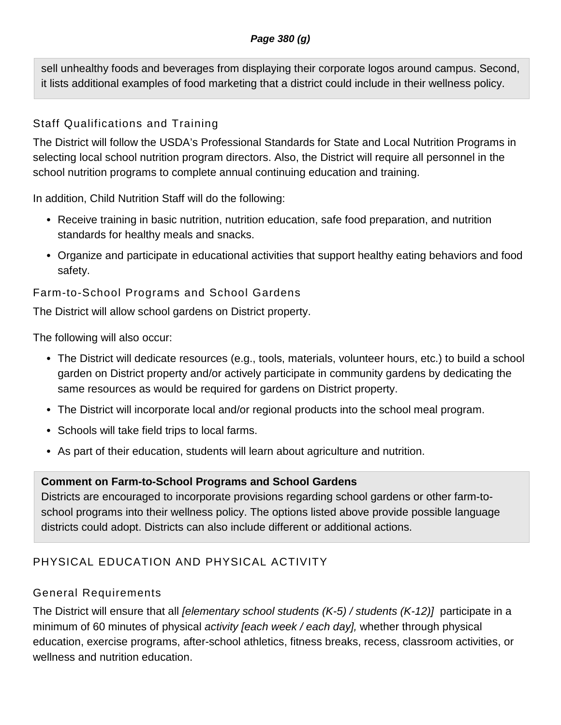sell unhealthy foods and beverages from displaying their corporate logos around campus. Second, it lists additional examples of food marketing that a district could include in their wellness policy.

# Staff Qualifications and Training

The District will follow the USDA's Professional Standards for State and Local Nutrition Programs in selecting local school nutrition program directors. Also, the District will require all personnel in the school nutrition programs to complete annual continuing education and training.

In addition, Child Nutrition Staff will do the following:

- Receive training in basic nutrition, nutrition education, safe food preparation, and nutrition standards for healthy meals and snacks.
- Organize and participate in educational activities that support healthy eating behaviors and food safety.

# Farm-to-School Programs and School Gardens

The District will allow school gardens on District property.

The following will also occur:

- The District will dedicate resources (e.g., tools, materials, volunteer hours, etc.) to build a school garden on District property and/or actively participate in community gardens by dedicating the same resources as would be required for gardens on District property.
- The District will incorporate local and/or regional products into the school meal program.
- Schools will take field trips to local farms.
- As part of their education, students will learn about agriculture and nutrition.

# **Comment on Farm-to-School Programs and School Gardens**

Districts are encouraged to incorporate provisions regarding school gardens or other farm-toschool programs into their wellness policy. The options listed above provide possible language districts could adopt. Districts can also include different or additional actions.

# PHYSICAL EDUCATION AND PHYSICAL ACTIVITY

# General Requirements

The District will ensure that all *[elementary school students (K-5) / students (K-12)*] participate in a minimum of 60 minutes of physical activity [each week / each day], whether through physical education, exercise programs, after-school athletics, fitness breaks, recess, classroom activities, or wellness and nutrition education.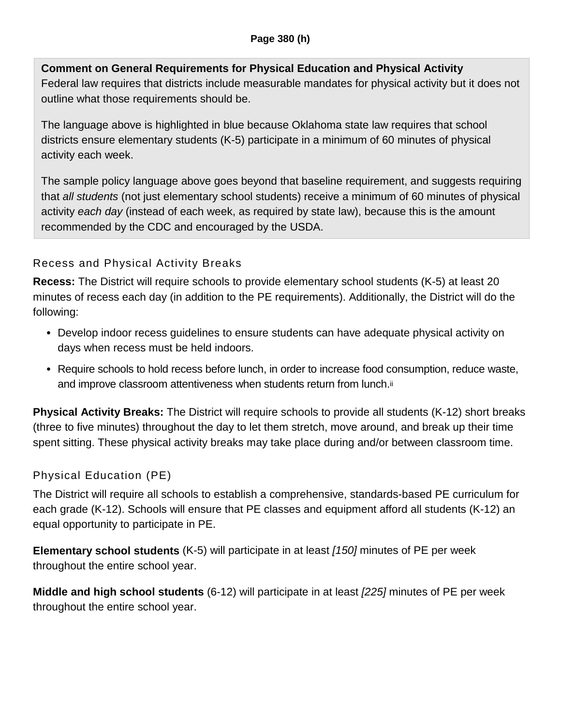# **Comment on General Requirements for Physical Education and Physical Activity**

Federal law requires that districts include measurable mandates for physical activity but it does not outline what those requirements should be.

The language above is highlighted in blue because Oklahoma state law requires that school districts ensure elementary students (K-5) participate in a minimum of 60 minutes of physical activity each week.

The sample policy language above goes beyond that baseline requirement, and suggests requiring that all students (not just elementary school students) receive a minimum of 60 minutes of physical activity each day (instead of each week, as required by state law), because this is the amount recommended by the CDC and encouraged by the USDA.

# Recess and Physical Activity Breaks

**Recess:** The District will require schools to provide elementary school students (K-5) at least 20 minutes of recess each day (in addition to the PE requirements). Additionally, the District will do the following:

- Develop indoor recess guidelines to ensure students can have adequate physical activity on days when recess must be held indoors.
- Require schools to hold recess before lunch, in order to increase food consumption, reduce waste, and improve classroom attentiveness when students return from lunch.ii

**Physical Activity Breaks:** The District will require schools to provide all students (K-12) short breaks (three to five minutes) throughout the day to let them stretch, move around, and break up their time spent sitting. These physical activity breaks may take place during and/or between classroom time.

# Physical Education (PE)

The District will require all schools to establish a comprehensive, standards-based PE curriculum for each grade (K-12). Schools will ensure that PE classes and equipment afford all students (K-12) an equal opportunity to participate in PE.

**Elementary school students** (K-5) will participate in at least [150] minutes of PE per week throughout the entire school year.

**Middle and high school students** (6-12) will participate in at least [225] minutes of PE per week throughout the entire school year.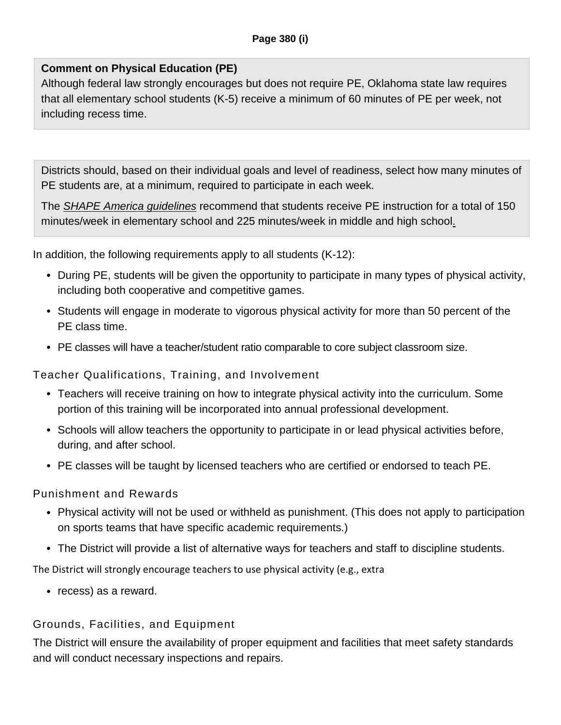# **Comment on Physical Education (PE)**

Although federal law strongly encourages but does not require PE, Oklahoma state law requires that all elementary school students (K-5) receive a minimum of 60 minutes of PE per week, not including recess time.

Districts should, based on their individual goals and level of readiness, select how many minutes of PE students are, at a minimum, required to participate in each week.

The **SHAPE America guidelines** recommend that students receive PE instruction for a total of 150 minutes/week in elementary school and 225 minutes/week in middle and high school.

In addition, the following requirements apply to all students (K-12):

- During PE, students will be given the opportunity to participate in many types of physical activity, including both cooperative and competitive games.
- Students will engage in moderate to vigorous physical activity for more than 50 percent of the PE class time.
- PE classes will have a teacher/student ratio comparable to core subject classroom size.

Teacher Qualifications, Training, and Involvement

- Teachers will receive training on how to integrate physical activity into the curriculum. Some portion of this training will be incorporated into annual professional development.
- Schools will allow teachers the opportunity to participate in or lead physical activities before, during, and after school.
- PE classes will be taught by licensed teachers who are certified or endorsed to teach PE.

## Punishment and Rewards

- Physical activity will not be used or withheld as punishment. (This does not apply to participation on sports teams that have specific academic requirements.)
- The District will provide a list of alternative ways for teachers and staff to discipline students.

The District will strongly encourage teachers to use physical activity (e.g., extra

• recess) as a reward.

# Grounds, Facilities, and Equipment

The District will ensure the availability of proper equipment and facilities that meet safety standards and will conduct necessary inspections and repairs.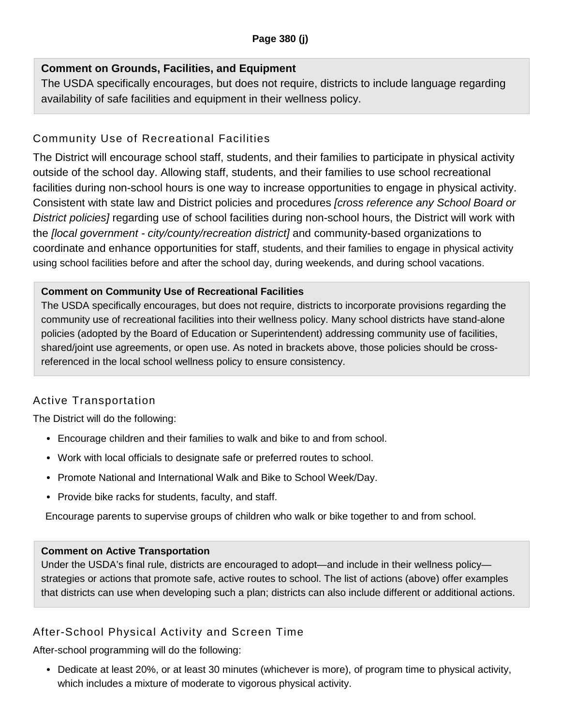## **Comment on Grounds, Facilities, and Equipment**

The USDA specifically encourages, but does not require, districts to include language regarding availability of safe facilities and equipment in their wellness policy.

# Community Use of Recreational Facilities

The District will encourage school staff, students, and their families to participate in physical activity outside of the school day. Allowing staff, students, and their families to use school recreational facilities during non-school hours is one way to increase opportunities to engage in physical activity. Consistent with state law and District policies and procedures [cross reference any School Board or District policies] regarding use of school facilities during non-school hours, the District will work with the *[local government - city/county/recreation district]* and community-based organizations to coordinate and enhance opportunities for staff, students, and their families to engage in physical activity using school facilities before and after the school day, during weekends, and during school vacations.

### **Comment on Community Use of Recreational Facilities**

The USDA specifically encourages, but does not require, districts to incorporate provisions regarding the community use of recreational facilities into their wellness policy. Many school districts have stand-alone policies (adopted by the Board of Education or Superintendent) addressing community use of facilities, shared/joint use agreements, or open use. As noted in brackets above, those policies should be crossreferenced in the local school wellness policy to ensure consistency.

# Active Transportation

The District will do the following:

- Encourage children and their families to walk and bike to and from school.
- Work with local officials to designate safe or preferred routes to school.
- Promote National and International Walk and Bike to School Week/Day.
- Provide bike racks for students, faculty, and staff.

Encourage parents to supervise groups of children who walk or bike together to and from school.

## **Comment on Active Transportation**

Under the USDA's final rule, districts are encouraged to adopt—and include in their wellness policy strategies or actions that promote safe, active routes to school. The list of actions (above) offer examples that districts can use when developing such a plan; districts can also include different or additional actions.

# After-School Physical Activity and Screen Time

After-school programming will do the following:

• Dedicate at least 20%, or at least 30 minutes (whichever is more), of program time to physical activity, which includes a mixture of moderate to vigorous physical activity.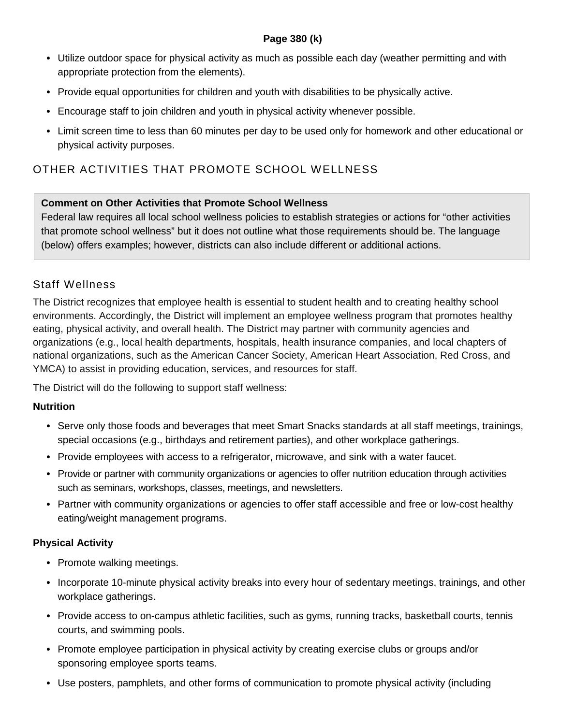### **Page 380 (k)**

- Utilize outdoor space for physical activity as much as possible each day (weather permitting and with appropriate protection from the elements).
- Provide equal opportunities for children and youth with disabilities to be physically active.
- Encourage staff to join children and youth in physical activity whenever possible.
- Limit screen time to less than 60 minutes per day to be used only for homework and other educational or physical activity purposes.

# OTHER ACTIVITIES THAT PROMOTE SCHOOL WELLNESS

### **Comment on Other Activities that Promote School Wellness**

Federal law requires all local school wellness policies to establish strategies or actions for "other activities that promote school wellness" but it does not outline what those requirements should be. The language (below) offers examples; however, districts can also include different or additional actions.

## Staff Wellness

The District recognizes that employee health is essential to student health and to creating healthy school environments. Accordingly, the District will implement an employee wellness program that promotes healthy eating, physical activity, and overall health. The District may partner with community agencies and organizations (e.g., local health departments, hospitals, health insurance companies, and local chapters of national organizations, such as the American Cancer Society, American Heart Association, Red Cross, and YMCA) to assist in providing education, services, and resources for staff.

The District will do the following to support staff wellness:

### **Nutrition**

- Serve only those foods and beverages that meet Smart Snacks standards at all staff meetings, trainings, special occasions (e.g., birthdays and retirement parties), and other workplace gatherings.
- Provide employees with access to a refrigerator, microwave, and sink with a water faucet.
- Provide or partner with community organizations or agencies to offer nutrition education through activities such as seminars, workshops, classes, meetings, and newsletters.
- Partner with community organizations or agencies to offer staff accessible and free or low-cost healthy eating/weight management programs.

### **Physical Activity**

- Promote walking meetings.
- Incorporate 10-minute physical activity breaks into every hour of sedentary meetings, trainings, and other workplace gatherings.
- Provide access to on-campus athletic facilities, such as gyms, running tracks, basketball courts, tennis courts, and swimming pools.
- Promote employee participation in physical activity by creating exercise clubs or groups and/or sponsoring employee sports teams.
- Use posters, pamphlets, and other forms of communication to promote physical activity (including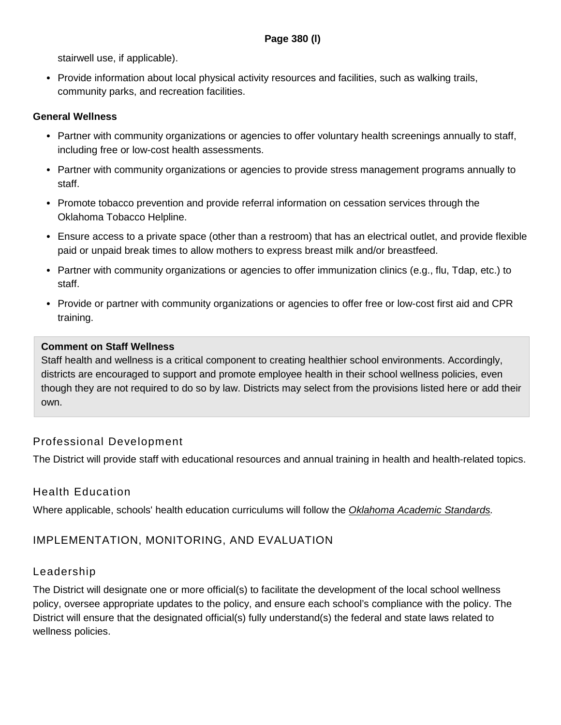stairwell use, if applicable).

• Provide information about local physical activity resources and facilities, such as walking trails, community parks, and recreation facilities.

#### **General Wellness**

- Partner with community organizations or agencies to offer voluntary health screenings annually to staff, including free or low-cost health assessments.
- Partner with community organizations or agencies to provide stress management programs annually to staff.
- Promote tobacco prevention and provide referral information on cessation services through the Oklahoma Tobacco Helpline.
- Ensure access to a private space (other than a restroom) that has an electrical outlet, and provide flexible paid or unpaid break times to allow mothers to express breast milk and/or breastfeed.
- Partner with community organizations or agencies to offer immunization clinics (e.g., flu, Tdap, etc.) to staff.
- Provide or partner with community organizations or agencies to offer free or low-cost first aid and CPR training.

#### **Comment on Staff Wellness**

Staff health and wellness is a critical component to creating healthier school environments. Accordingly, districts are encouraged to support and promote employee health in their school wellness policies, even though they are not required to do so by law. Districts may select from the provisions listed here or add their own.

## Professional Development

The District will provide staff with educational resources and annual training in health and health-related topics.

## Health Education

Where applicable, schools' health education curriculums will follow the Oklahoma Academic Standards.

## IMPLEMENTATION, MONITORING, AND EVALUATION

### Leadership

The District will designate one or more official(s) to facilitate the development of the local school wellness policy, oversee appropriate updates to the policy, and ensure each school's compliance with the policy. The District will ensure that the designated official(s) fully understand(s) the federal and state laws related to wellness policies.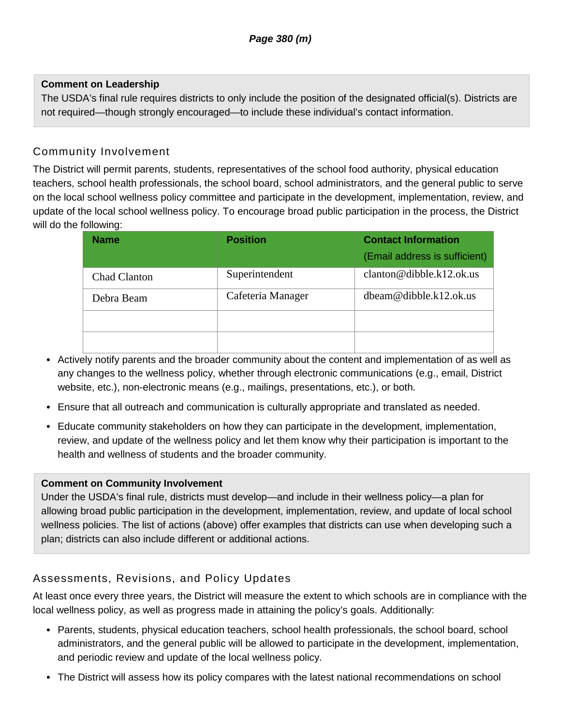### **Comment on Leadership**

The USDA's final rule requires districts to only include the position of the designated official(s). Districts are not required—though strongly encouraged—to include these individual's contact information.

# Community Involvement

The District will permit parents, students, representatives of the school food authority, physical education teachers, school health professionals, the school board, school administrators, and the general public to serve on the local school wellness policy committee and participate in the development, implementation, review, and update of the local school wellness policy. To encourage broad public participation in the process, the District will do the following:

| <b>Name</b>         | <b>Position</b>   | <b>Contact Information</b><br>(Email address is sufficient) |
|---------------------|-------------------|-------------------------------------------------------------|
| <b>Chad Clanton</b> | Superintendent    | clanton@dibble.k12.ok.us                                    |
| Debra Beam          | Cafeteria Manager | $d$ beam@dibble.k12.ok.us                                   |
|                     |                   |                                                             |
|                     |                   |                                                             |

- Actively notify parents and the broader community about the content and implementation of as well as any changes to the wellness policy, whether through electronic communications (e.g., email, District website, etc.), non-electronic means (e.g., mailings, presentations, etc.), or both.
- Ensure that all outreach and communication is culturally appropriate and translated as needed.
- Educate community stakeholders on how they can participate in the development, implementation, review, and update of the wellness policy and let them know why their participation is important to the health and wellness of students and the broader community.

### **Comment on Community Involvement**

Under the USDA's final rule, districts must develop—and include in their wellness policy—a plan for allowing broad public participation in the development, implementation, review, and update of local school wellness policies. The list of actions (above) offer examples that districts can use when developing such a plan; districts can also include different or additional actions.

# Assessments, Revisions, and Policy Updates

At least once every three years, the District will measure the extent to which schools are in compliance with the local wellness policy, as well as progress made in attaining the policy's goals. Additionally:

- Parents, students, physical education teachers, school health professionals, the school board, school administrators, and the general public will be allowed to participate in the development, implementation, and periodic review and update of the local wellness policy.
- The District will assess how its policy compares with the latest national recommendations on school